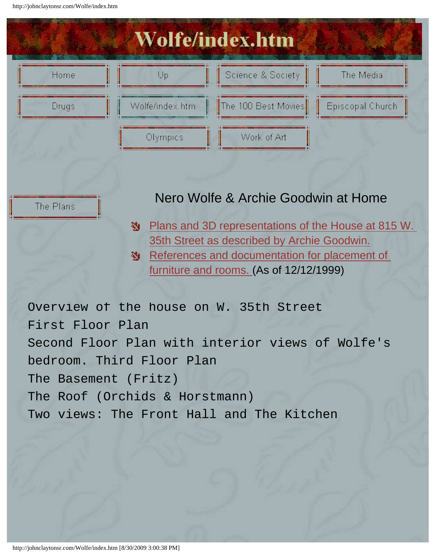<span id="page-0-1"></span><span id="page-0-0"></span>http://johnclaytonsr.com/Wolfe/index.htm

The Plans



### Nero Wolfe & Archie Goodwin at Home

- [Plans and 3D representations of the House at 815 W.](#page-1-0)  磡 [35th Street as described by Archie Goodwin.](#page-1-0)
- [References and documentation for placement of](#page-26-0)  鞠。 [furniture and rooms.](#page-26-0) (As of 12/12/1999)

Overview of the house on W. 35th Street First Floor Plan Second Floor Plan with interior views of Wolfe's bedroom. Third Floor Plan The Basement (Fritz) The Roof (Orchids & Horstmann) Two views: The Front Hall and The Kitchen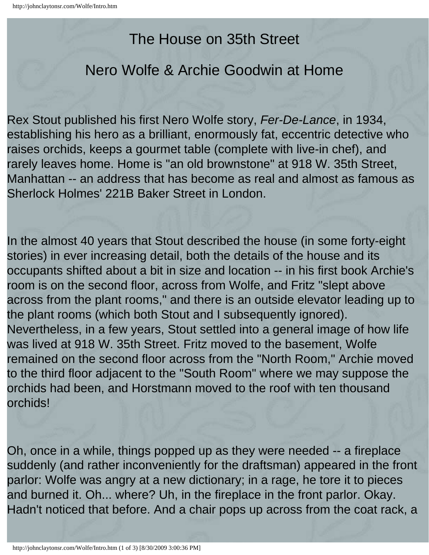## The House on 35th Street

## <span id="page-1-2"></span><span id="page-1-0"></span>Nero Wolfe & Archie Goodwin at Home

<span id="page-1-1"></span>Rex Stout published his first Nero Wolfe story, *Fer-De-Lance*, in 1934, establishing his hero as a brilliant, enormously fat, eccentric detective who raises orchids, keeps a gourmet table (complete with live-in chef), and rarely leaves home. Home is "an old brownstone" at 918 W. 35th Street, Manhattan -- an address that has become as real and almost as famous as Sherlock Holmes' 221B Baker Street in London.

In the almost 40 years that Stout described the house (in some forty-eight stories) in ever increasing detail, both the details of the house and its occupants shifted about a bit in size and location -- in his first book Archie's room is on the second floor, across from Wolfe, and Fritz "slept above across from the plant rooms," and there is an outside elevator leading up to the plant rooms (which both Stout and I subsequently ignored). Nevertheless, in a few years, Stout settled into a general image of how life was lived at 918 W. 35th Street. Fritz moved to the basement, Wolfe remained on the second floor across from the "North Room," Archie moved to the third floor adjacent to the "South Room" where we may suppose the orchids had been, and Horstmann moved to the roof with ten thousand orchids!

Oh, once in a while, things popped up as they were needed -- a fireplace suddenly (and rather inconveniently for the draftsman) appeared in the front parlor: Wolfe was angry at a new dictionary; in a rage, he tore it to pieces and burned it. Oh... where? Uh, in the fireplace in the front parlor. Okay. Hadn't noticed that before. And a chair pops up across from the coat rack, a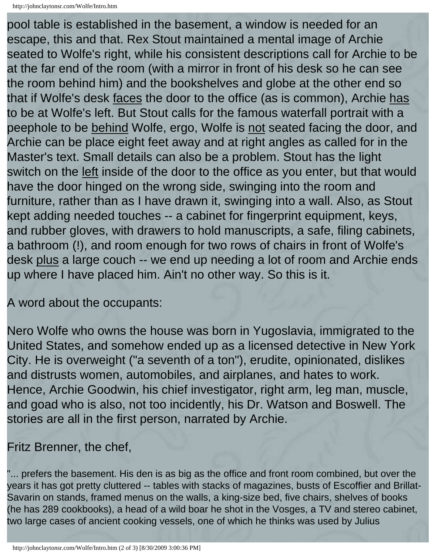```
http://johnclaytonsr.com/Wolfe/Intro.htm
```
pool table is established in the basement, a window is needed for an escape, this and that. Rex Stout maintained a mental image of Archie seated to Wolfe's right, while his consistent descriptions call for Archie to be at the far end of the room (with a mirror in front of his desk so he can see the room behind him) and the bookshelves and globe at the other end so that if Wolfe's desk faces the door to the office (as is common), Archie has to be at Wolfe's left. But Stout calls for the famous waterfall portrait with a peephole to be behind Wolfe, ergo, Wolfe is not seated facing the door, and Archie can be place eight feet away and at right angles as called for in the Master's text. Small details can also be a problem. Stout has the light switch on the left inside of the door to the office as you enter, but that would have the door hinged on the wrong side, swinging into the room and furniture, rather than as I have drawn it, swinging into a wall. Also, as Stout kept adding needed touches -- a cabinet for fingerprint equipment, keys, and rubber gloves, with drawers to hold manuscripts, a safe, filing cabinets, a bathroom (!), and room enough for two rows of chairs in front of Wolfe's desk plus a large couch -- we end up needing a lot of room and Archie ends up where I have placed him. Ain't no other way. So this is it.

A word about the occupants:

Nero Wolfe who owns the house was born in Yugoslavia, immigrated to the United States, and somehow ended up as a licensed detective in New York City. He is overweight ("a seventh of a ton"), erudite, opinionated, dislikes and distrusts women, automobiles, and airplanes, and hates to work. Hence, Archie Goodwin, his chief investigator, right arm, leg man, muscle, and goad who is also, not too incidently, his Dr. Watson and Boswell. The stories are all in the first person, narrated by Archie.

Fritz Brenner, the chef,

"... prefers the basement. His den is as big as the office and front room combined, but over the years it has got pretty cluttered -- tables with stacks of magazines, busts of Escoffier and Brillat-Savarin on stands, framed menus on the walls, a king-size bed, five chairs, shelves of books (he has 289 cookbooks), a head of a wild boar he shot in the Vosges, a TV and stereo cabinet, two large cases of ancient cooking vessels, one of which he thinks was used by Julius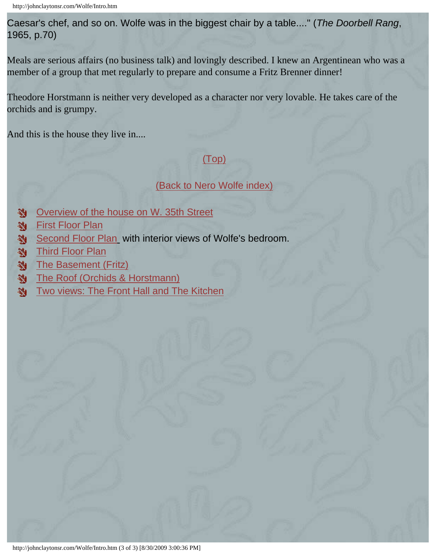Caesar's chef, and so on. Wolfe was in the biggest chair by a table...." (*The Doorbell Rang*, 1965, p.70)

Meals are serious affairs (no business talk) and lovingly described. I knew an Argentinean who was a member of a group that met regularly to prepare and consume a Fritz Brenner dinner!

Theodore Horstmann is neither very developed as a character nor very lovable. He takes care of the orchids and is grumpy.

And this is the house they live in....

#### [\(Top\)](#page-1-1)

#### [\(Back to Nero Wolfe index\)](#page-0-0)

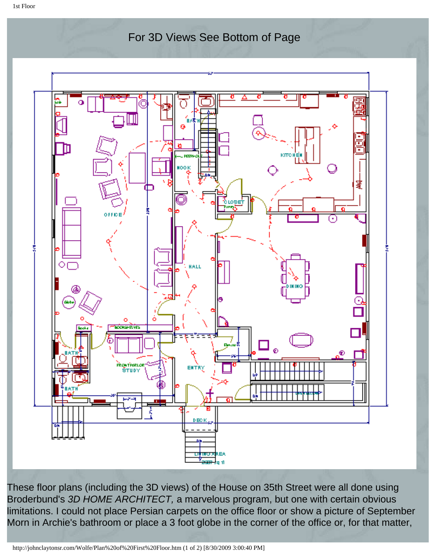<span id="page-4-1"></span><span id="page-4-0"></span>1st Floor

For 3D Views See Bottom of Page



These floor plans (including the 3D views) of the House on 35th Street were all done using Broderbund's *3D HOME ARCHITECT,* a marvelous program, but one with certain obvious limitations. I could not place Persian carpets on the office floor or show a picture of September Morn in Archie's bathroom or place a 3 foot globe in the corner of the office or, for that matter,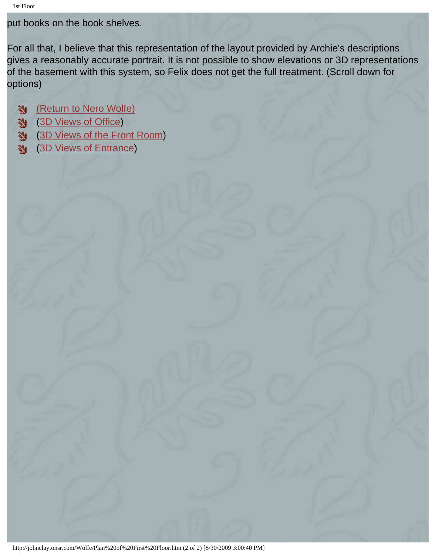put books on the book shelves.

For all that, I believe that this representation of the layout provided by Archie's descriptions gives a reasonably accurate portrait. It is not possible to show elevations or 3D representations of the basement with this system, so Felix does not get the full treatment. (Scroll down for options)

[\(Return to Nero Wolfe\)](#page-1-2) ([3D Views of Office\)](#page-15-0) 鄬 ([3D Views of the Front Room\)](#page-17-0) ([3D Views of Entrance](#page-12-0))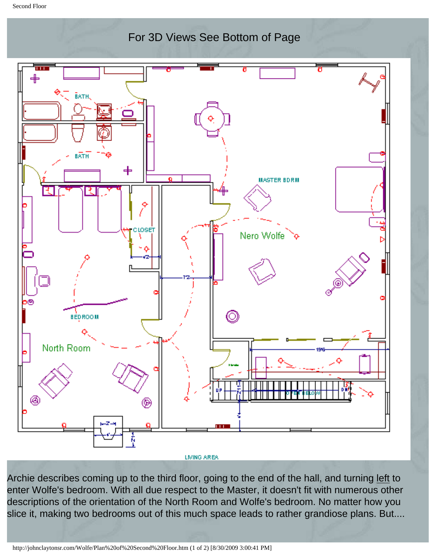<span id="page-6-1"></span><span id="page-6-0"></span>Second Floor



LIVING AREA

Archie describes coming up to the third floor, going to the end of the hall, and turning left to enter Wolfe's bedroom. With all due respect to the Master, it doesn't fit with numerous other descriptions of the orientation of the North Room and Wolfe's bedroom. No matter how you slice it, making two bedrooms out of this much space leads to rather grandiose plans. But....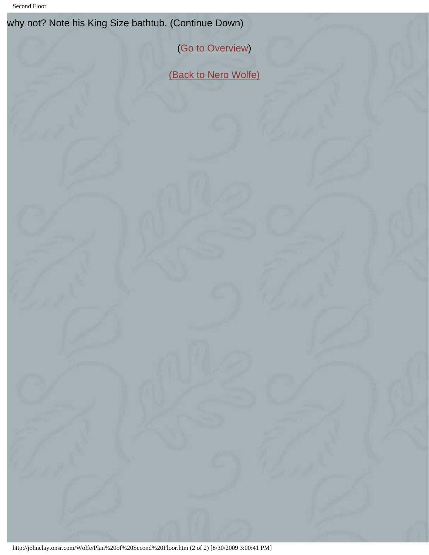Second Floor

why not? Note his King Size bathtub. (Continue Down)

([Go to Overview](#page-19-0))

[\(Back to Nero Wolfe\)](#page-1-0)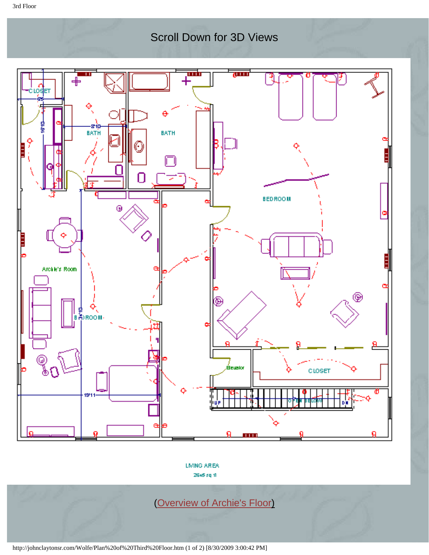### Scroll Down for 3D Views

<span id="page-8-1"></span><span id="page-8-0"></span>

LIVING AREA 2645 sq 11

([Overview of Archie's Floor](#page-20-0))

http://johnclaytonsr.com/Wolfe/Plan%20of%20Third%20Floor.htm (1 of 2) [8/30/2009 3:00:42 PM]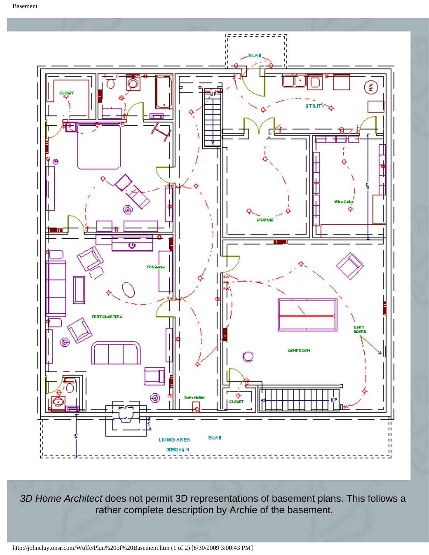<span id="page-9-0"></span>

*3D Home Architect* does not permit 3D representations of basement plans. This follows a rather complete description by Archie of the basement.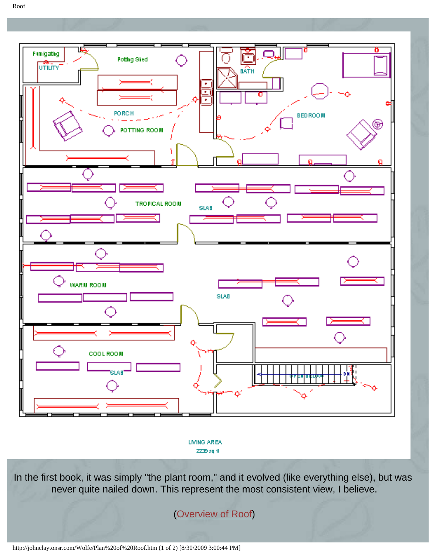<span id="page-10-1"></span><span id="page-10-0"></span>



LIVING AREA ZZ39 sq 11

In the first book, it was simply "the plant room," and it evolved (like everything else), but was never quite nailed down. This represent the most consistent view, I believe.

[\(Overview of Roof\)](#page-21-0)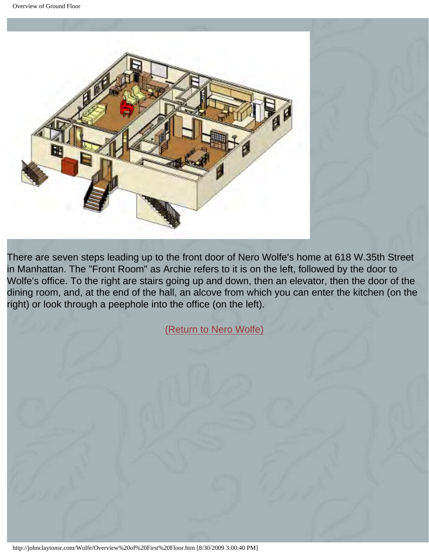<span id="page-11-0"></span>

There are seven steps leading up to the front door of Nero Wolfe's home at 618 W.35th Street in Manhattan. The "Front Room" as Archie refers to it is on the left, followed by the door to Wolfe's office. To the right are stairs going up and down, then an elevator, then the door of the dining room, and, at the end of the hall, an alcove from which you can enter the kitchen (on the right) or look through a peephole into the office (on the left).

[\(Return to Nero Wolfe\)](#page-1-0)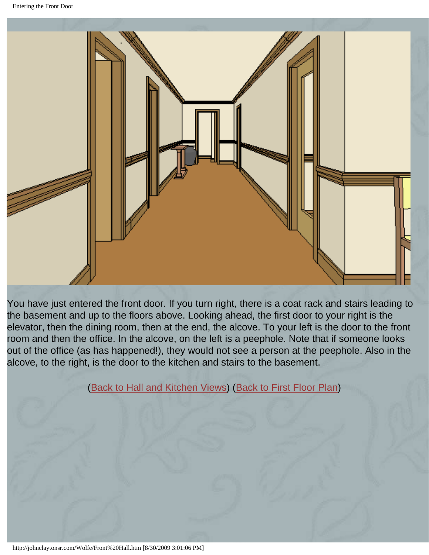<span id="page-12-1"></span><span id="page-12-0"></span>

You have just entered the front door. If you turn right, there is a coat rack and stairs leading to the basement and up to the floors above. Looking ahead, the first door to your right is the elevator, then the dining room, then at the end, the alcove. To your left is the door to the front room and then the office. In the alcove, on the left is a peephole. Note that if someone looks out of the office (as has happened!), they would not see a person at the peephole. Also in the alcove, to the right, is the door to the kitchen and stairs to the basement.

([Back to Hall and Kitchen Views\)](#page-13-1) ([Back to First Floor Plan](#page-4-1))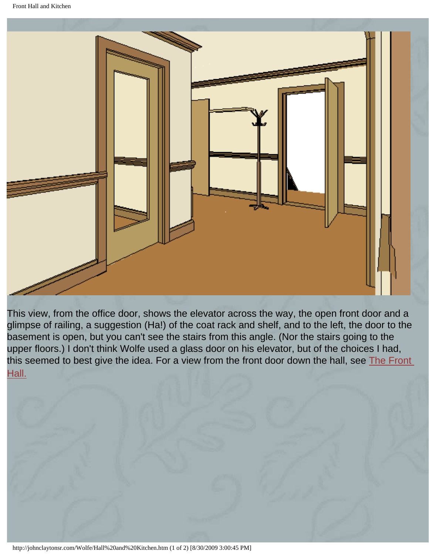<span id="page-13-1"></span><span id="page-13-0"></span>

This view, from the office door, shows the elevator across the way, the open front door and a glimpse of railing, a suggestion (Ha!) of the coat rack and shelf, and to the left, the door to the basement is open, but you can't see the stairs from this angle. (Nor the stairs going to the upper floors.) I don't think Wolfe used a glass door on his elevator, but of the choices I had, this seemed to best give the idea. For a view from the front door down the hall, see [The Front](#page-12-1) [Hall.](#page-12-1)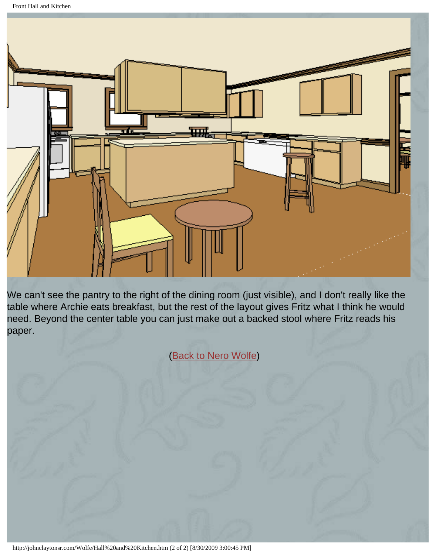Front Hall and Kitchen



We can't see the pantry to the right of the dining room (just visible), and I don't really like the table where Archie eats breakfast, but the rest of the layout gives Fritz what I think he would need. Beyond the center table you can just make out a backed stool where Fritz reads his paper.

([Back to Nero Wolfe](#page-1-0))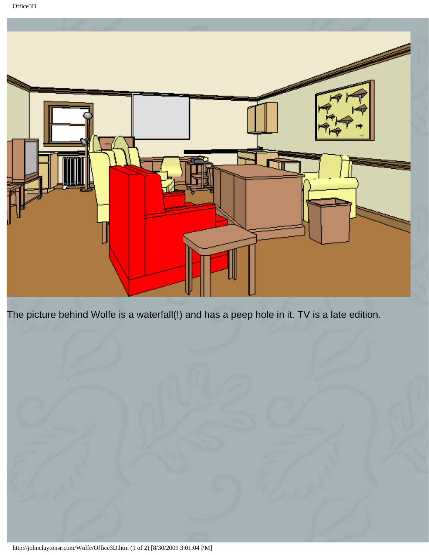<span id="page-15-0"></span>

The picture behind Wolfe is a waterfall(!) and has a peep hole in it. TV is a late edition.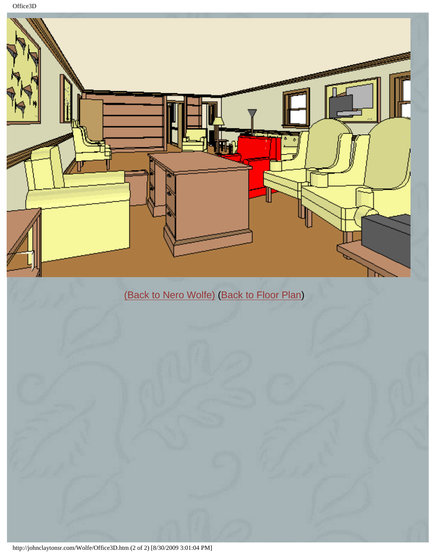Office3D



http://johnclaytonsr.com/Wolfe/Office3D.htm (2 of 2) [8/30/2009 3:01:04 PM]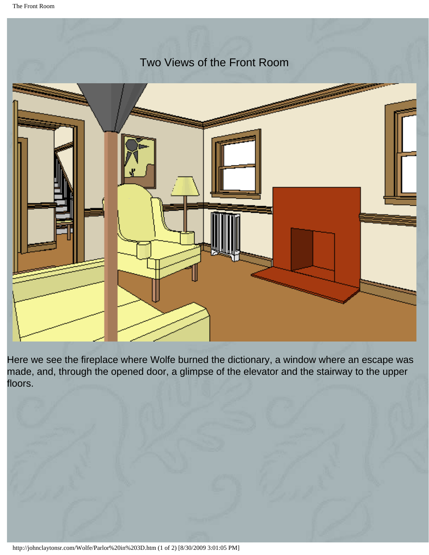<span id="page-17-0"></span>

Here we see the fireplace where Wolfe burned the dictionary, a window where an escape was made, and, through the opened door, a glimpse of the elevator and the stairway to the upper floors.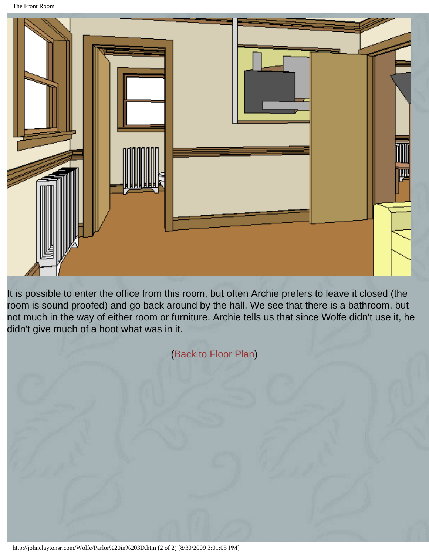The Front Room



It is possible to enter the office from this room, but often Archie prefers to leave it closed (the room is sound proofed) and go back around by the hall. We see that there is a bathroom, but not much in the way of either room or furniture. Archie tells us that since Wolfe didn't use it, he didn't give much of a hoot what was in it.

([Back to Floor Plan](#page-4-1))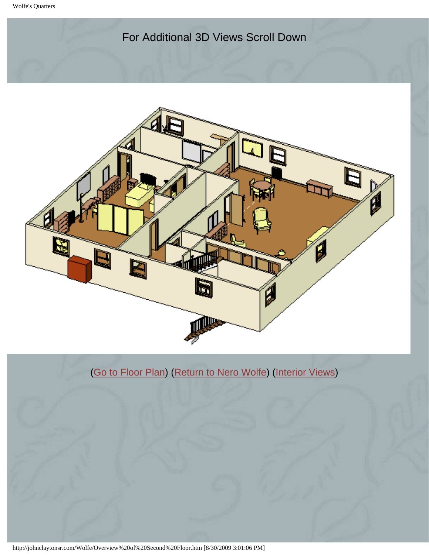#### For Additional 3D Views Scroll Down

<span id="page-19-0"></span>

### ([Go to Floor Plan\)](#page-6-1) ([Return to Nero Wolfe](#page-1-0)) ([Interior Views](#page-22-0))

http://johnclaytonsr.com/Wolfe/Overview%20of%20Second%20Floor.htm [8/30/2009 3:01:06 PM]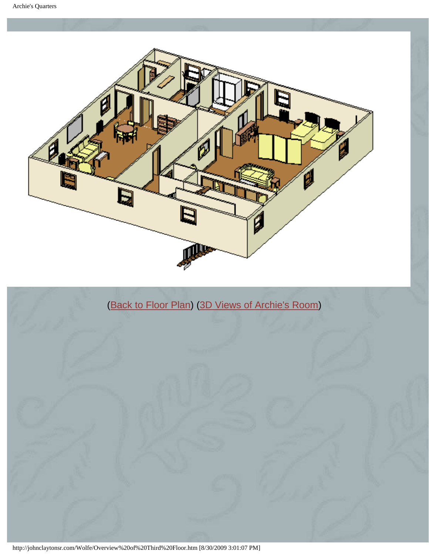<span id="page-20-0"></span>



http://johnclaytonsr.com/Wolfe/Overview%20of%20Third%20Floor.htm [8/30/2009 3:01:07 PM]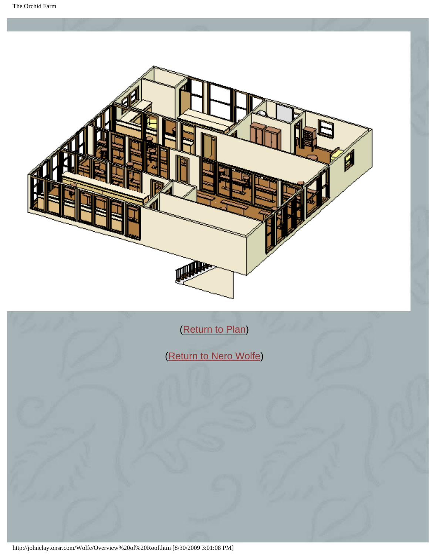<span id="page-21-0"></span>

[\(Return to Plan\)](#page-10-1)

[\(Return to Nero Wolfe\)](#page-1-0)

http://johnclaytonsr.com/Wolfe/Overview%20of%20Roof.htm [8/30/2009 3:01:08 PM]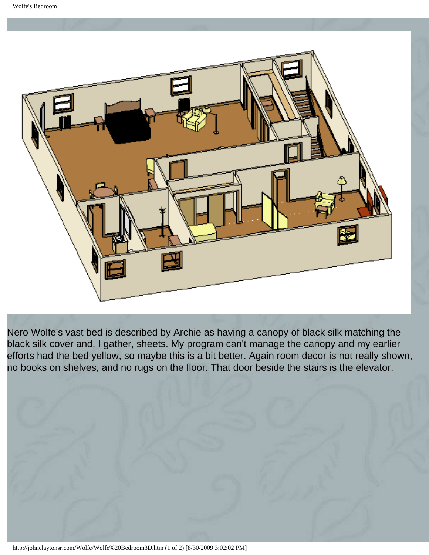<span id="page-22-0"></span>

Nero Wolfe's vast bed is described by Archie as having a canopy of black silk matching the black silk cover and, I gather, sheets. My program can't manage the canopy and my earlier efforts had the bed yellow, so maybe this is a bit better. Again room decor is not really shown, no books on shelves, and no rugs on the floor. That door beside the stairs is the elevator.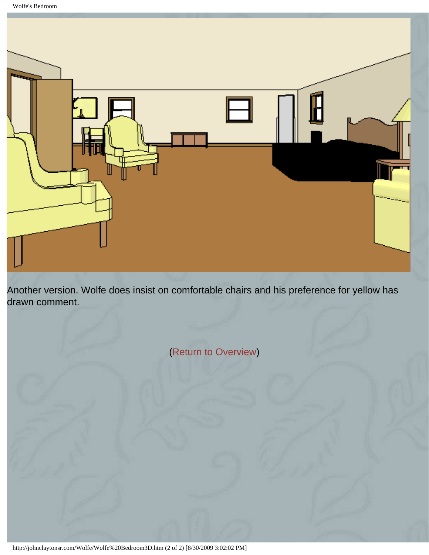Wolfe's Bedroom



Another version. Wolfe does insist on comfortable chairs and his preference for yellow has drawn comment.

[\(Return to Overview\)](#page-19-0)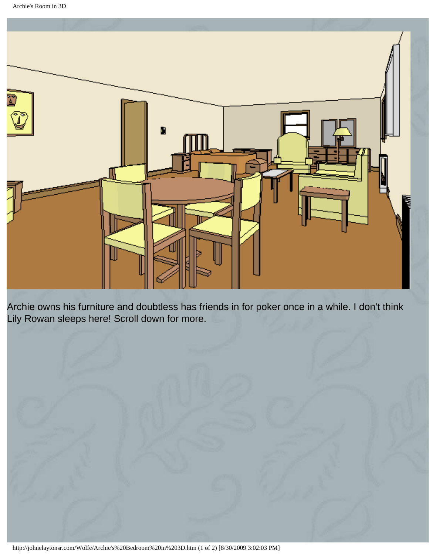<span id="page-24-1"></span><span id="page-24-0"></span>

Archie owns his furniture and doubtless has friends in for poker once in a while. I don't think Lily Rowan sleeps here! Scroll down for more.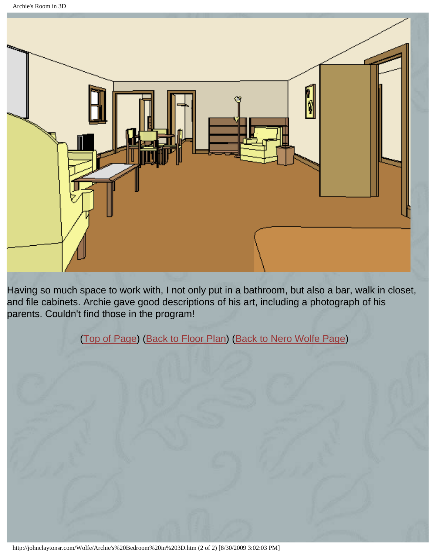Archie's Room in 3D



Having so much space to work with, I not only put in a bathroom, but also a bar, walk in closet, and file cabinets. Archie gave good descriptions of his art, including a photograph of his parents. Couldn't find those in the program!

([Top of Page](#page-24-1)) [\(Back to Floor Plan\)](#page-8-1) ([Back to Nero Wolfe Page](#page-1-0))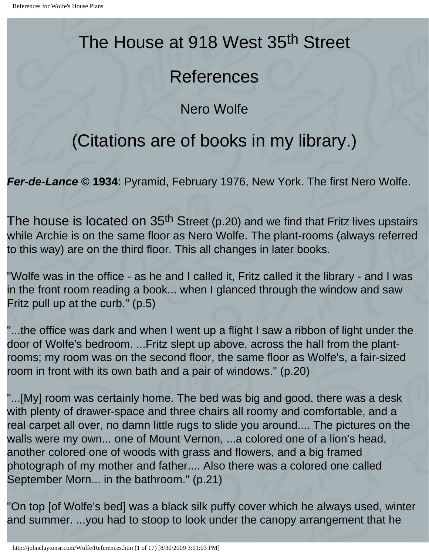# <span id="page-26-0"></span>The House at 918 West 35<sup>th</sup> Street

# References

Nero Wolfe

# (Citations are of books in my library.)

*Fer-de-Lance* **© 1934**: Pyramid, February 1976, New York. The first Nero Wolfe.

The house is located on 35<sup>th</sup> Street (p.20) and we find that Fritz lives upstairs while Archie is on the same floor as Nero Wolfe. The plant-rooms (always referred to this way) are on the third floor. This all changes in later books.

"Wolfe was in the office - as he and I called it, Fritz called it the library - and I was in the front room reading a book... when I glanced through the window and saw Fritz pull up at the curb." (p.5)

"...the office was dark and when I went up a flight I saw a ribbon of light under the door of Wolfe's bedroom. ...Fritz slept up above, across the hall from the plantrooms; my room was on the second floor, the same floor as Wolfe's, a fair-sized room in front with its own bath and a pair of windows." (p.20)

"...[My] room was certainly home. The bed was big and good, there was a desk with plenty of drawer-space and three chairs all roomy and comfortable, and a real carpet all over, no damn little rugs to slide you around.... The pictures on the walls were my own... one of Mount Vernon, ...a colored one of a lion's head, another colored one of woods with grass and flowers, and a big framed photograph of my mother and father.... Also there was a colored one called September Morn... in the bathroom." (p.21)

"On top [of Wolfe's bed] was a black silk puffy cover which he always used, winter and summer. ...you had to stoop to look under the canopy arrangement that he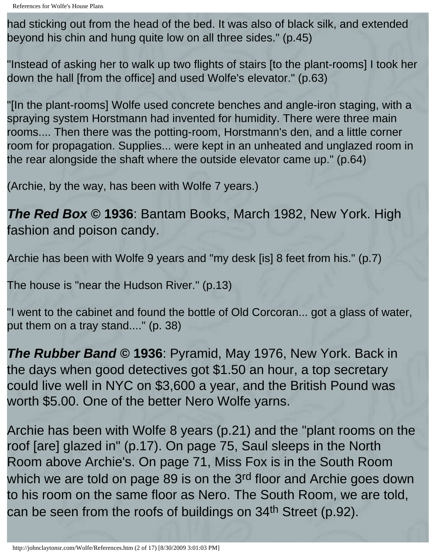had sticking out from the head of the bed. It was also of black silk, and extended beyond his chin and hung quite low on all three sides." (p.45)

"Instead of asking her to walk up two flights of stairs [to the plant-rooms] I took her down the hall [from the office] and used Wolfe's elevator." (p.63)

"[In the plant-rooms] Wolfe used concrete benches and angle-iron staging, with a spraying system Horstmann had invented for humidity. There were three main rooms.... Then there was the potting-room, Horstmann's den, and a little corner room for propagation. Supplies... were kept in an unheated and unglazed room in the rear alongside the shaft where the outside elevator came up." (p.64)

(Archie, by the way, has been with Wolfe 7 years.)

*The Red Box* **© 1936**: Bantam Books, March 1982, New York. High fashion and poison candy.

Archie has been with Wolfe 9 years and "my desk [is] 8 feet from his." (p.7)

The house is "near the Hudson River." (p.13)

"I went to the cabinet and found the bottle of Old Corcoran... got a glass of water, put them on a tray stand...." (p. 38)

*The Rubber Band* **© 1936**: Pyramid, May 1976, New York. Back in the days when good detectives got \$1.50 an hour, a top secretary could live well in NYC on \$3,600 a year, and the British Pound was worth \$5.00. One of the better Nero Wolfe yarns.

Archie has been with Wolfe 8 years (p.21) and the "plant rooms on the roof [are] glazed in" (p.17). On page 75, Saul sleeps in the North Room above Archie's. On page 71, Miss Fox is in the South Room which we are told on page 89 is on the 3rd floor and Archie goes down to his room on the same floor as Nero. The South Room, we are told, can be seen from the roofs of buildings on 34<sup>th</sup> Street (p.92).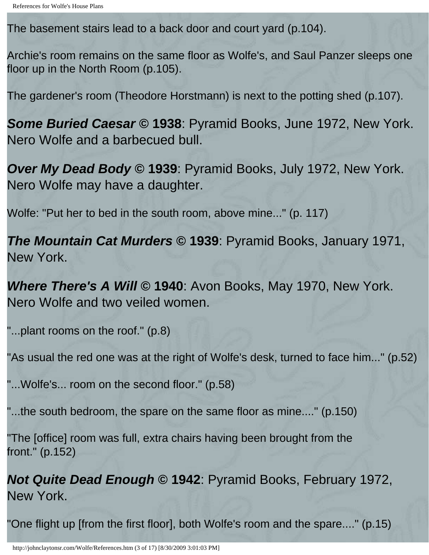The basement stairs lead to a back door and court yard (p.104).

Archie's room remains on the same floor as Wolfe's, and Saul Panzer sleeps one floor up in the North Room (p.105).

The gardener's room (Theodore Horstmann) is next to the potting shed (p.107).

*Some Buried Caesar* **© 1938**: Pyramid Books, June 1972, New York. Nero Wolfe and a barbecued bull.

*Over My Dead Body* **© 1939**: Pyramid Books, July 1972, New York. Nero Wolfe may have a daughter.

Wolfe: "Put her to bed in the south room, above mine..." (p. 117)

*The Mountain Cat Murders* **© 1939**: Pyramid Books, January 1971, New York.

*Where There's A Will* **© 1940**: Avon Books, May 1970, New York. Nero Wolfe and two veiled women.

"...plant rooms on the roof." (p.8)

"As usual the red one was at the right of Wolfe's desk, turned to face him..." (p.52)

"...Wolfe's... room on the second floor." (p.58)

"...the south bedroom, the spare on the same floor as mine...." (p.150)

"The [office] room was full, extra chairs having been brought from the front." (p.152)

*Not Quite Dead Enough* **© 1942**: Pyramid Books, February 1972, New York.

"One flight up [from the first floor], both Wolfe's room and the spare...." (p.15)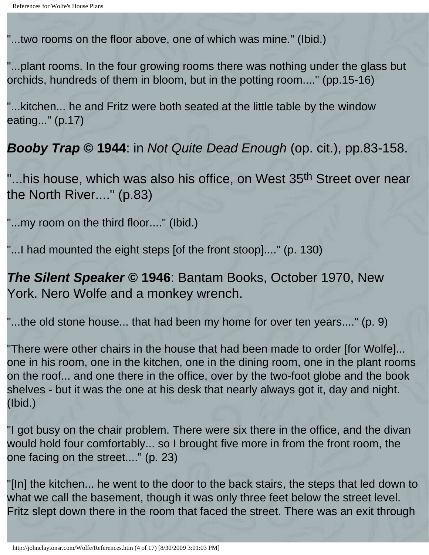"...two rooms on the floor above, one of which was mine." (Ibid.)

"...plant rooms. In the four growing rooms there was nothing under the glass but orchids, hundreds of them in bloom, but in the potting room...." (pp.15-16)

"...kitchen... he and Fritz were both seated at the little table by the window eating..." (p.17)

*Booby Trap* **© 1944**: in *Not Quite Dead Enough* (op. cit.), pp.83-158.

"...his house, which was also his office, on West 35<sup>th</sup> Street over near the North River...." (p.83)

"...my room on the third floor...." (Ibid.)

"...I had mounted the eight steps [of the front stoop]...." (p. 130)

*The Silent Speaker* © 1946: Bantam Books, October 1970, New York. Nero Wolfe and a monkey wrench.

"...the old stone house... that had been my home for over ten years...." (p. 9)

"There were other chairs in the house that had been made to order [for Wolfe]... one in his room, one in the kitchen, one in the dining room, one in the plant rooms on the roof... and one there in the office, over by the two-foot globe and the book shelves - but it was the one at his desk that nearly always got it, day and night. (Ibid.)

"I got busy on the chair problem. There were six there in the office, and the divan would hold four comfortably... so I brought five more in from the front room, the one facing on the street...." (p. 23)

"[In] the kitchen... he went to the door to the back stairs, the steps that led down to what we call the basement, though it was only three feet below the street level. Fritz slept down there in the room that faced the street. There was an exit through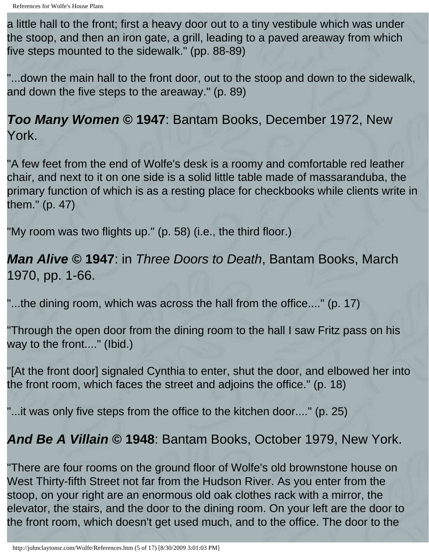a little hall to the front; first a heavy door out to a tiny vestibule which was under the stoop, and then an iron gate, a grill, leading to a paved areaway from which five steps mounted to the sidewalk." (pp. 88-89)

"...down the main hall to the front door, out to the stoop and down to the sidewalk, and down the five steps to the areaway." (p. 89)

*Too Many Women* **© 1947**: Bantam Books, December 1972, New York.

"A few feet from the end of Wolfe's desk is a roomy and comfortable red leather chair, and next to it on one side is a solid little table made of massaranduba, the primary function of which is as a resting place for checkbooks while clients write in them." (p. 47)

"My room was two flights up." (p. 58) (i.e., the third floor.)

*Man Alive* **© 1947**: in *Three Doors to Death*, Bantam Books, March 1970, pp. 1-66.

"...the dining room, which was across the hall from the office...." (p. 17)

"Through the open door from the dining room to the hall I saw Fritz pass on his way to the front...." (Ibid.)

"[At the front door] signaled Cynthia to enter, shut the door, and elbowed her into the front room, which faces the street and adjoins the office." (p. 18)

"...it was only five steps from the office to the kitchen door...." (p. 25)

### *And Be A Villain* **© 1948**: Bantam Books, October 1979, New York.

"There are four rooms on the ground floor of Wolfe's old brownstone house on West Thirty-fifth Street not far from the Hudson River. As you enter from the stoop, on your right are an enormous old oak clothes rack with a mirror, the elevator, the stairs, and the door to the dining room. On your left are the door to the front room, which doesn't get used much, and to the office. The door to the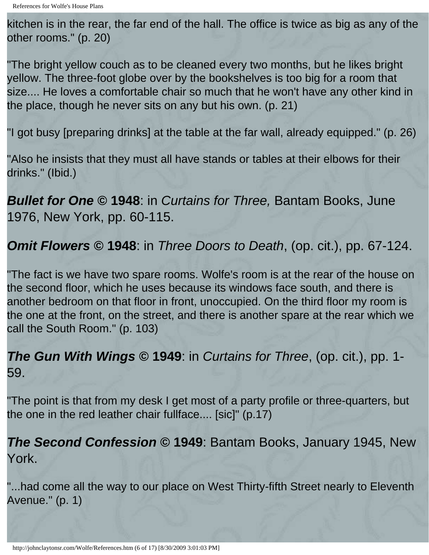kitchen is in the rear, the far end of the hall. The office is twice as big as any of the other rooms." (p. 20)

"The bright yellow couch as to be cleaned every two months, but he likes bright yellow. The three-foot globe over by the bookshelves is too big for a room that size.... He loves a comfortable chair so much that he won't have any other kind in the place, though he never sits on any but his own. (p. 21)

"I got busy [preparing drinks] at the table at the far wall, already equipped." (p. 26)

"Also he insists that they must all have stands or tables at their elbows for their drinks." (Ibid.)

*Bullet for One* **© 1948**: in *Curtains for Three,* Bantam Books, June 1976, New York, pp. 60-115.

*Omit Flowers* **© 1948**: in *Three Doors to Death*, (op. cit.), pp. 67-124.

"The fact is we have two spare rooms. Wolfe's room is at the rear of the house on the second floor, which he uses because its windows face south, and there is another bedroom on that floor in front, unoccupied. On the third floor my room is the one at the front, on the street, and there is another spare at the rear which we call the South Room." (p. 103)

### *The Gun With Wings* **© 1949**: in *Curtains for Three*, (op. cit.), pp. 1- 59.

"The point is that from my desk I get most of a party profile or three-quarters, but the one in the red leather chair fullface.... [sic]" (p.17)

### *The Second Confession* **© 1949**: Bantam Books, January 1945, New York.

"...had come all the way to our place on West Thirty-fifth Street nearly to Eleventh Avenue." (p. 1)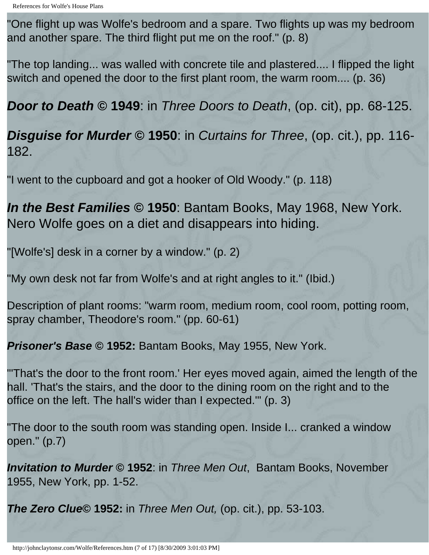"One flight up was Wolfe's bedroom and a spare. Two flights up was my bedroom and another spare. The third flight put me on the roof." (p. 8)

"The top landing... was walled with concrete tile and plastered.... I flipped the light switch and opened the door to the first plant room, the warm room.... (p. 36)

*Door to Death* **© 1949**: in *Three Doors to Death*, (op. cit), pp. 68-125.

*Disguise for Murder* **© 1950**: in *Curtains for Three*, (op. cit.), pp. 116- 182.

"I went to the cupboard and got a hooker of Old Woody." (p. 118)

*In the Best Families* **© 1950**: Bantam Books, May 1968, New York. Nero Wolfe goes on a diet and disappears into hiding.

"[Wolfe's] desk in a corner by a window." (p. 2)

"My own desk not far from Wolfe's and at right angles to it." (Ibid.)

Description of plant rooms: "warm room, medium room, cool room, potting room, spray chamber, Theodore's room." (pp. 60-61)

*Prisoner's Base* **© 1952:** Bantam Books, May 1955, New York.

"'That's the door to the front room.' Her eyes moved again, aimed the length of the hall. 'That's the stairs, and the door to the dining room on the right and to the office on the left. The hall's wider than I expected.'" (p. 3)

"The door to the south room was standing open. Inside I... cranked a window open." (p.7)

*Invitation to Murder* **© 1952**: in *Three Men Out*, Bantam Books, November 1955, New York, pp. 1-52.

*The Zero Clue***© 1952:** in *Three Men Out,* (op. cit.), pp. 53-103.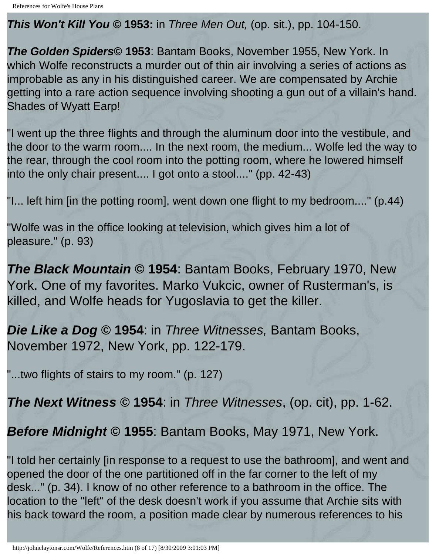*This Won't Kill You ©* **1953:** in *Three Men Out,* (op. sit.), pp. 104-150.

*The Golden Spiders***© 1953**: Bantam Books, November 1955, New York. In which Wolfe reconstructs a murder out of thin air involving a series of actions as improbable as any in his distinguished career. We are compensated by Archie getting into a rare action sequence involving shooting a gun out of a villain's hand. Shades of Wyatt Earp!

"I went up the three flights and through the aluminum door into the vestibule, and the door to the warm room.... In the next room, the medium... Wolfe led the way to the rear, through the cool room into the potting room, where he lowered himself into the only chair present.... I got onto a stool...." (pp. 42-43)

"I... left him [in the potting room], went down one flight to my bedroom...." (p.44)

"Wolfe was in the office looking at television, which gives him a lot of pleasure." (p. 93)

*The Black Mountain* **© 1954**: Bantam Books, February 1970, New York. One of my favorites. Marko Vukcic, owner of Rusterman's, is killed, and Wolfe heads for Yugoslavia to get the killer.

*Die Like a Dog* **© 1954**: in *Three Witnesses,* Bantam Books, November 1972, New York, pp. 122-179.

"...two flights of stairs to my room." (p. 127)

*The Next Witness* **© 1954**: in *Three Witnesses*, (op. cit), pp. 1-62.

*Before Midnight* **© 1955**: Bantam Books, May 1971, New York.

"I told her certainly [in response to a request to use the bathroom], and went and opened the door of the one partitioned off in the far corner to the left of my desk..." (p. 34). I know of no other reference to a bathroom in the office. The location to the "left" of the desk doesn't work if you assume that Archie sits with his back toward the room, a position made clear by numerous references to his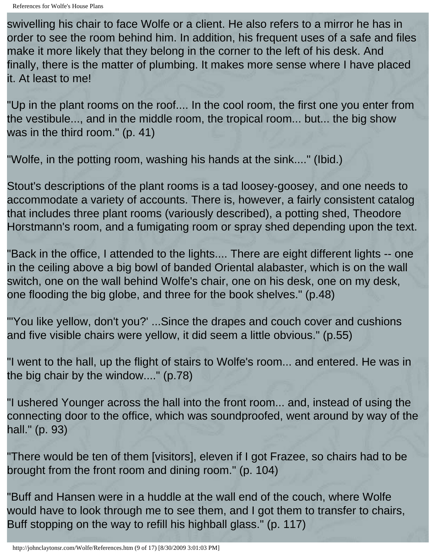swivelling his chair to face Wolfe or a client. He also refers to a mirror he has in order to see the room behind him. In addition, his frequent uses of a safe and files make it more likely that they belong in the corner to the left of his desk. And finally, there is the matter of plumbing. It makes more sense where I have placed it. At least to me!

"Up in the plant rooms on the roof.... In the cool room, the first one you enter from the vestibule..., and in the middle room, the tropical room... but... the big show was in the third room." (p. 41)

"Wolfe, in the potting room, washing his hands at the sink...." (Ibid.)

Stout's descriptions of the plant rooms is a tad loosey-goosey, and one needs to accommodate a variety of accounts. There is, however, a fairly consistent catalog that includes three plant rooms (variously described), a potting shed, Theodore Horstmann's room, and a fumigating room or spray shed depending upon the text.

"Back in the office, I attended to the lights.... There are eight different lights -- one in the ceiling above a big bowl of banded Oriental alabaster, which is on the wall switch, one on the wall behind Wolfe's chair, one on his desk, one on my desk, one flooding the big globe, and three for the book shelves." (p.48)

"'You like yellow, don't you?' ...Since the drapes and couch cover and cushions and five visible chairs were yellow, it did seem a little obvious." (p.55)

"I went to the hall, up the flight of stairs to Wolfe's room... and entered. He was in the big chair by the window...." (p.78)

"I ushered Younger across the hall into the front room... and, instead of using the connecting door to the office, which was soundproofed, went around by way of the hall." (p. 93)

"There would be ten of them [visitors], eleven if I got Frazee, so chairs had to be brought from the front room and dining room." (p. 104)

"Buff and Hansen were in a huddle at the wall end of the couch, where Wolfe would have to look through me to see them, and I got them to transfer to chairs, Buff stopping on the way to refill his highball glass." (p. 117)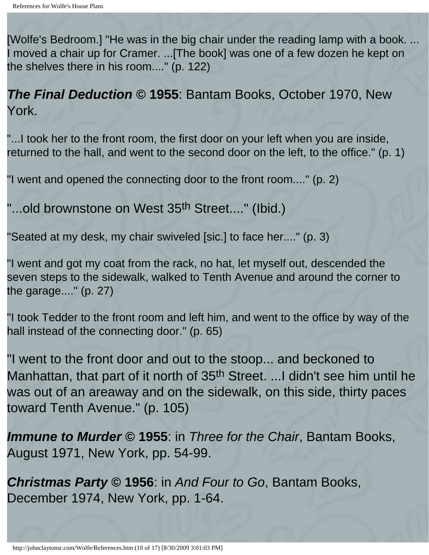[Wolfe's Bedroom.] "He was in the big chair under the reading lamp with a book. ... I moved a chair up for Cramer. ...[The book] was one of a few dozen he kept on the shelves there in his room...." (p. 122)

*The Final Deduction* **© 1955**: Bantam Books, October 1970, New York.

"...I took her to the front room, the first door on your left when you are inside, returned to the hall, and went to the second door on the left, to the office." (p. 1)

"I went and opened the connecting door to the front room...." (p. 2)

"...old brownstone on West 35<sup>th</sup> Street...." (Ibid.)

"Seated at my desk, my chair swiveled [sic.] to face her...." (p. 3)

"I went and got my coat from the rack, no hat, let myself out, descended the seven steps to the sidewalk, walked to Tenth Avenue and around the corner to the garage...." (p. 27)

"I took Tedder to the front room and left him, and went to the office by way of the hall instead of the connecting door." (p. 65)

"I went to the front door and out to the stoop... and beckoned to Manhattan, that part of it north of 35<sup>th</sup> Street. ...I didn't see him until he was out of an areaway and on the sidewalk, on this side, thirty paces toward Tenth Avenue." (p. 105)

*Immune to Murder* **© 1955**: in *Three for the Chair*, Bantam Books, August 1971, New York, pp. 54-99.

*Christmas Party* **© 1956**: in *And Four to Go*, Bantam Books, December 1974, New York, pp. 1-64.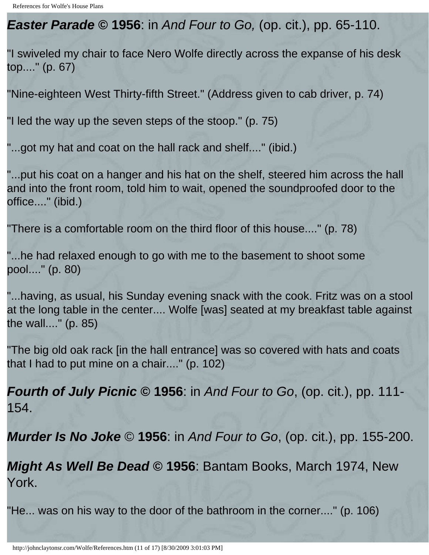*Easter Parade* **© 1956**: in *And Four to Go,* (op. cit.), pp. 65-110.

"I swiveled my chair to face Nero Wolfe directly across the expanse of his desk top...." (p. 67)

"Nine-eighteen West Thirty-fifth Street." (Address given to cab driver, p. 74)

"I led the way up the seven steps of the stoop." (p. 75)

"...got my hat and coat on the hall rack and shelf...." (ibid.)

"...put his coat on a hanger and his hat on the shelf, steered him across the hall and into the front room, told him to wait, opened the soundproofed door to the office...." (ibid.)

"There is a comfortable room on the third floor of this house...." (p. 78)

"...he had relaxed enough to go with me to the basement to shoot some pool...." (p. 80)

"...having, as usual, his Sunday evening snack with the cook. Fritz was on a stool at the long table in the center.... Wolfe [was] seated at my breakfast table against the wall...." (p. 85)

"The big old oak rack [in the hall entrance] was so covered with hats and coats that I had to put mine on a chair...." (p. 102)

*Fourth of July Picnic* **© 1956**: in *And Four to Go*, (op. cit.), pp. 111- 154.

*Murder Is No Joke* © **1956**: in *And Four to Go*, (op. cit.), pp. 155-200.

*Might As Well Be Dead* **© 1956**: Bantam Books, March 1974, New York.

"He... was on his way to the door of the bathroom in the corner...." (p. 106)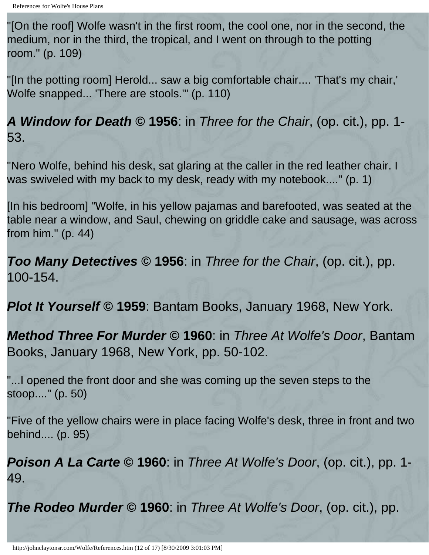"[On the roof] Wolfe wasn't in the first room, the cool one, nor in the second, the medium, nor in the third, the tropical, and I went on through to the potting room." (p. 109)

"[In the potting room] Herold... saw a big comfortable chair.... 'That's my chair,' Wolfe snapped... 'There are stools.'" (p. 110)

*A Window for Death* **© 1956**: in *Three for the Chair*, (op. cit.), pp. 1- 53.

"Nero Wolfe, behind his desk, sat glaring at the caller in the red leather chair. I was swiveled with my back to my desk, ready with my notebook...." (p. 1)

[In his bedroom] "Wolfe, in his yellow pajamas and barefooted, was seated at the table near a window, and Saul, chewing on griddle cake and sausage, was across from him." (p. 44)

*Too Many Detectives* **© 1956**: in *Three for the Chair*, (op. cit.), pp. 100-154.

*Plot It Yourself* **© 1959**: Bantam Books, January 1968, New York.

*Method Three For Murder* **© 1960**: in *Three At Wolfe's Door*, Bantam Books, January 1968, New York, pp. 50-102.

"...I opened the front door and she was coming up the seven steps to the stoop...." (p. 50)

"Five of the yellow chairs were in place facing Wolfe's desk, three in front and two behind.... (p. 95)

*Poison A La Carte* **© 1960**: in *Three At Wolfe's Door*, (op. cit.), pp. 1- 49.

*The Rodeo Murder* **© 1960**: in *Three At Wolfe's Door*, (op. cit.), pp.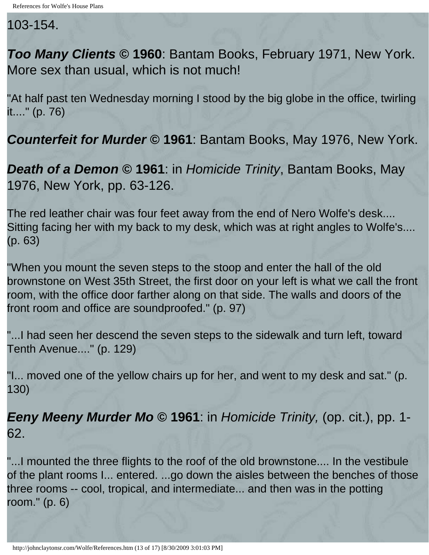103-154.

*Too Many Clients* **© 1960**: Bantam Books, February 1971, New York. More sex than usual, which is not much!

"At half past ten Wednesday morning I stood by the big globe in the office, twirling it...." (p. 76)

*Counterfeit for Murder* **© 1961**: Bantam Books, May 1976, New York.

*Death of a Demon* **© 1961**: in *Homicide Trinity*, Bantam Books, May 1976, New York, pp. 63-126.

The red leather chair was four feet away from the end of Nero Wolfe's desk.... Sitting facing her with my back to my desk, which was at right angles to Wolfe's.... (p. 63)

"When you mount the seven steps to the stoop and enter the hall of the old brownstone on West 35th Street, the first door on your left is what we call the front room, with the office door farther along on that side. The walls and doors of the front room and office are soundproofed." (p. 97)

"...I had seen her descend the seven steps to the sidewalk and turn left, toward Tenth Avenue...." (p. 129)

"I... moved one of the yellow chairs up for her, and went to my desk and sat." (p. 130)

*Eeny Meeny Murder Mo* **© 1961**: in *Homicide Trinity,* (op. cit.), pp. 1- 62.

"...I mounted the three flights to the roof of the old brownstone.... In the vestibule of the plant rooms I... entered. ...go down the aisles between the benches of those three rooms -- cool, tropical, and intermediate... and then was in the potting room." (p. 6)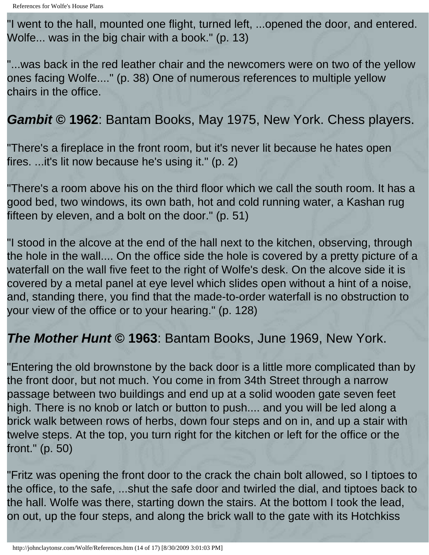"I went to the hall, mounted one flight, turned left, ...opened the door, and entered. Wolfe... was in the big chair with a book." (p. 13)

"...was back in the red leather chair and the newcomers were on two of the yellow ones facing Wolfe...." (p. 38) One of numerous references to multiple yellow chairs in the office.

### *Gambit* **© 1962**: Bantam Books, May 1975, New York. Chess players.

"There's a fireplace in the front room, but it's never lit because he hates open fires. ...it's lit now because he's using it." (p. 2)

"There's a room above his on the third floor which we call the south room. It has a good bed, two windows, its own bath, hot and cold running water, a Kashan rug fifteen by eleven, and a bolt on the door." (p. 51)

"I stood in the alcove at the end of the hall next to the kitchen, observing, through the hole in the wall.... On the office side the hole is covered by a pretty picture of a waterfall on the wall five feet to the right of Wolfe's desk. On the alcove side it is covered by a metal panel at eye level which slides open without a hint of a noise, and, standing there, you find that the made-to-order waterfall is no obstruction to your view of the office or to your hearing." (p. 128)

### *The Mother Hunt* **© 1963**: Bantam Books, June 1969, New York.

"Entering the old brownstone by the back door is a little more complicated than by the front door, but not much. You come in from 34th Street through a narrow passage between two buildings and end up at a solid wooden gate seven feet high. There is no knob or latch or button to push.... and you will be led along a brick walk between rows of herbs, down four steps and on in, and up a stair with twelve steps. At the top, you turn right for the kitchen or left for the office or the front." (p. 50)

"Fritz was opening the front door to the crack the chain bolt allowed, so I tiptoes to the office, to the safe, ...shut the safe door and twirled the dial, and tiptoes back to the hall. Wolfe was there, starting down the stairs. At the bottom I took the lead, on out, up the four steps, and along the brick wall to the gate with its Hotchkiss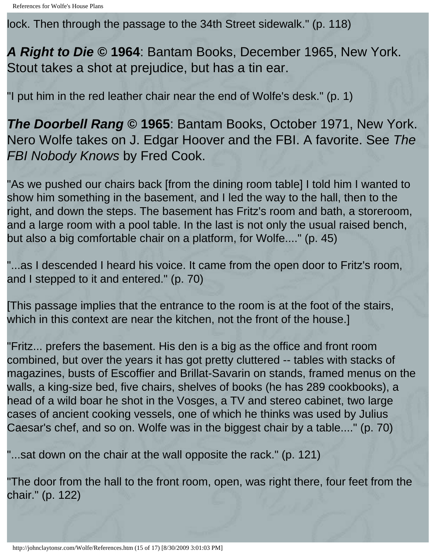lock. Then through the passage to the 34th Street sidewalk." (p. 118)

*A Right to Die* **© 1964**: Bantam Books, December 1965, New York. Stout takes a shot at prejudice, but has a tin ear.

"I put him in the red leather chair near the end of Wolfe's desk." (p. 1)

*The Doorbell Rang* **© 1965**: Bantam Books, October 1971, New York. Nero Wolfe takes on J. Edgar Hoover and the FBI. A favorite. See *The FBI Nobody Knows* by Fred Cook.

"As we pushed our chairs back [from the dining room table] I told him I wanted to show him something in the basement, and I led the way to the hall, then to the right, and down the steps. The basement has Fritz's room and bath, a storeroom, and a large room with a pool table. In the last is not only the usual raised bench, but also a big comfortable chair on a platform, for Wolfe...." (p. 45)

"...as I descended I heard his voice. It came from the open door to Fritz's room, and I stepped to it and entered." (p. 70)

[This passage implies that the entrance to the room is at the foot of the stairs, which in this context are near the kitchen, not the front of the house.]

"Fritz... prefers the basement. His den is a big as the office and front room combined, but over the years it has got pretty cluttered -- tables with stacks of magazines, busts of Escoffier and Brillat-Savarin on stands, framed menus on the walls, a king-size bed, five chairs, shelves of books (he has 289 cookbooks), a head of a wild boar he shot in the Vosges, a TV and stereo cabinet, two large cases of ancient cooking vessels, one of which he thinks was used by Julius Caesar's chef, and so on. Wolfe was in the biggest chair by a table...." (p. 70)

"...sat down on the chair at the wall opposite the rack." (p. 121)

"The door from the hall to the front room, open, was right there, four feet from the chair." (p. 122)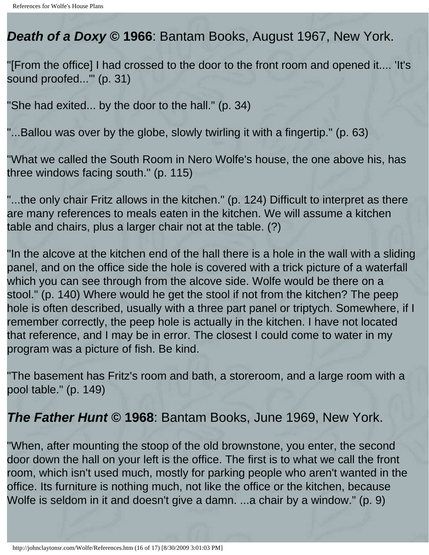### *Death of a Doxy* **© 1966**: Bantam Books, August 1967, New York.

"[From the office] I had crossed to the door to the front room and opened it.... 'It's sound proofed...'" (p. 31)

"She had exited... by the door to the hall." (p. 34)

"...Ballou was over by the globe, slowly twirling it with a fingertip." (p. 63)

"What we called the South Room in Nero Wolfe's house, the one above his, has three windows facing south." (p. 115)

"...the only chair Fritz allows in the kitchen." (p. 124) Difficult to interpret as there are many references to meals eaten in the kitchen. We will assume a kitchen table and chairs, plus a larger chair not at the table. (?)

"In the alcove at the kitchen end of the hall there is a hole in the wall with a sliding panel, and on the office side the hole is covered with a trick picture of a waterfall which you can see through from the alcove side. Wolfe would be there on a stool." (p. 140) Where would he get the stool if not from the kitchen? The peep hole is often described, usually with a three part panel or triptych. Somewhere, if I remember correctly, the peep hole is actually in the kitchen. I have not located that reference, and I may be in error. The closest I could come to water in my program was a picture of fish. Be kind.

"The basement has Fritz's room and bath, a storeroom, and a large room with a pool table." (p. 149)

### *The Father Hunt* **© 1968**: Bantam Books, June 1969, New York.

"When, after mounting the stoop of the old brownstone, you enter, the second door down the hall on your left is the office. The first is to what we call the front room, which isn't used much, mostly for parking people who aren't wanted in the office. Its furniture is nothing much, not like the office or the kitchen, because Wolfe is seldom in it and doesn't give a damn. ...a chair by a window." (p. 9)